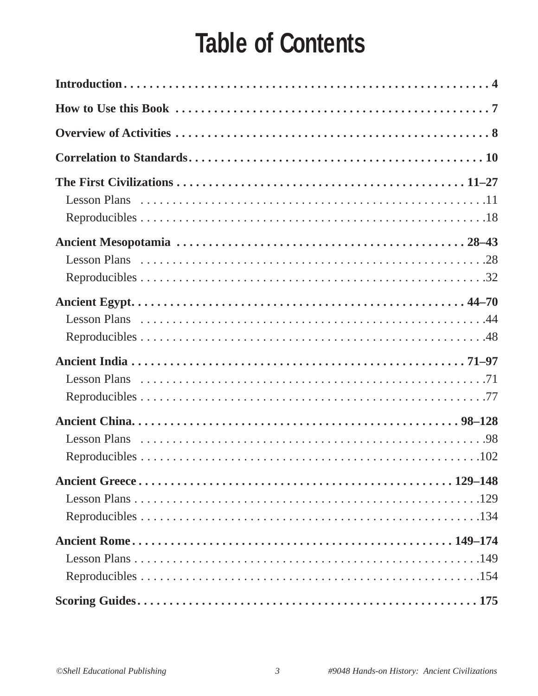# **Table of Contents**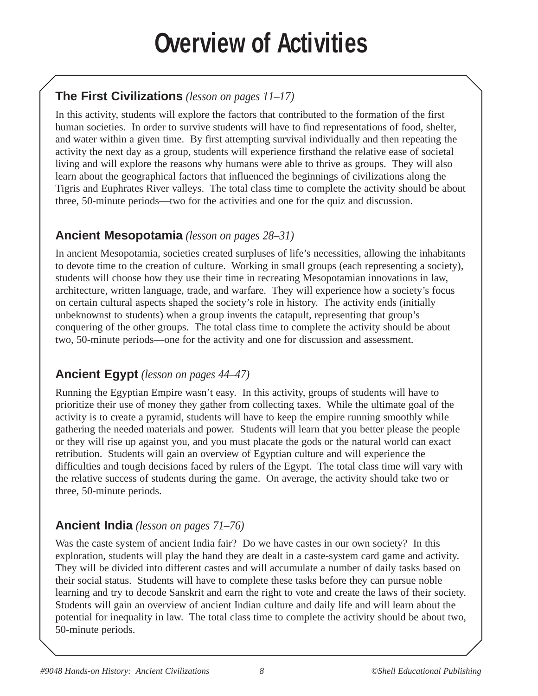# **Overview of Activities**

## **The First Civilizations** *(lesson on pages 11–17)*

In this activity, students will explore the factors that contributed to the formation of the first human societies. In order to survive students will have to find representations of food, shelter, and water within a given time. By first attempting survival individually and then repeating the activity the next day as a group, students will experience firsthand the relative ease of societal living and will explore the reasons why humans were able to thrive as groups. They will also learn about the geographical factors that influenced the beginnings of civilizations along the Tigris and Euphrates River valleys. The total class time to complete the activity should be about three, 50-minute periods—two for the activities and one for the quiz and discussion.

### **Ancient Mesopotamia** *(lesson on pages 28–31)*

In ancient Mesopotamia, societies created surpluses of life's necessities, allowing the inhabitants to devote time to the creation of culture. Working in small groups (each representing a society), students will choose how they use their time in recreating Mesopotamian innovations in law, architecture, written language, trade, and warfare. They will experience how a society's focus on certain cultural aspects shaped the society's role in history. The activity ends (initially unbeknownst to students) when a group invents the catapult, representing that group's conquering of the other groups. The total class time to complete the activity should be about two, 50-minute periods—one for the activity and one for discussion and assessment.

### **Ancient Egypt** *(lesson on pages 44–47)*

Running the Egyptian Empire wasn't easy. In this activity, groups of students will have to prioritize their use of money they gather from collecting taxes. While the ultimate goal of the activity is to create a pyramid, students will have to keep the empire running smoothly while gathering the needed materials and power. Students will learn that you better please the people or they will rise up against you, and you must placate the gods or the natural world can exact retribution. Students will gain an overview of Egyptian culture and will experience the difficulties and tough decisions faced by rulers of the Egypt. The total class time will vary with the relative success of students during the game. On average, the activity should take two or three, 50-minute periods.

## **Ancient India** *(lesson on pages 71–76)*

Was the caste system of ancient India fair? Do we have castes in our own society? In this exploration, students will play the hand they are dealt in a caste-system card game and activity. They will be divided into different castes and will accumulate a number of daily tasks based on their social status. Students will have to complete these tasks before they can pursue noble learning and try to decode Sanskrit and earn the right to vote and create the laws of their society. Students will gain an overview of ancient Indian culture and daily life and will learn about the potential for inequality in law. The total class time to complete the activity should be about two, 50-minute periods.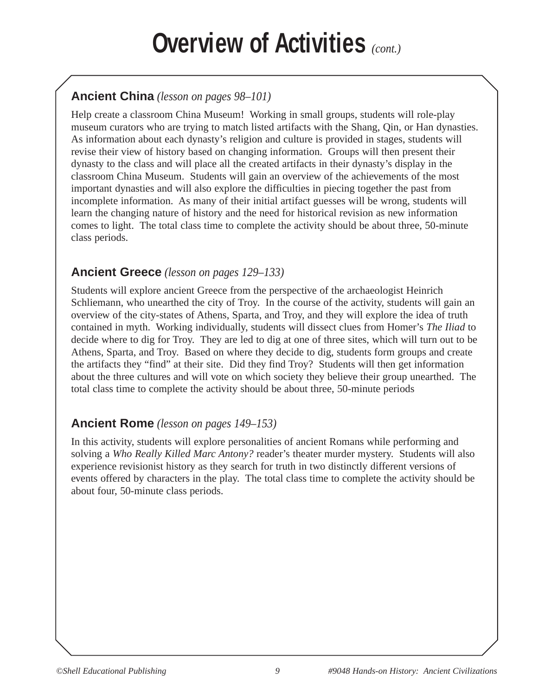## **Overview of Activities** *(cont.)*

## **Ancient China** *(lesson on pages 98–101)*

Help create a classroom China Museum! Working in small groups, students will role-play museum curators who are trying to match listed artifacts with the Shang, Qin, or Han dynasties. As information about each dynasty's religion and culture is provided in stages, students will revise their view of history based on changing information. Groups will then present their dynasty to the class and will place all the created artifacts in their dynasty's display in the classroom China Museum. Students will gain an overview of the achievements of the most important dynasties and will also explore the difficulties in piecing together the past from incomplete information. As many of their initial artifact guesses will be wrong, students will learn the changing nature of history and the need for historical revision as new information comes to light. The total class time to complete the activity should be about three, 50-minute class periods.

#### **Ancient Greece** *(lesson on pages 129–133)*

Students will explore ancient Greece from the perspective of the archaeologist Heinrich Schliemann, who unearthed the city of Troy. In the course of the activity, students will gain an overview of the city-states of Athens, Sparta, and Troy, and they will explore the idea of truth contained in myth. Working individually, students will dissect clues from Homer's *The Iliad* to decide where to dig for Troy. They are led to dig at one of three sites, which will turn out to be Athens, Sparta, and Troy. Based on where they decide to dig, students form groups and create the artifacts they "find" at their site. Did they find Troy? Students will then get information about the three cultures and will vote on which society they believe their group unearthed. The total class time to complete the activity should be about three, 50-minute periods

### **Ancient Rome** *(lesson on pages 149–153)*

In this activity, students will explore personalities of ancient Romans while performing and solving a *Who Really Killed Marc Antony?* reader's theater murder mystery. Students will also experience revisionist history as they search for truth in two distinctly different versions of events offered by characters in the play. The total class time to complete the activity should be about four, 50-minute class periods.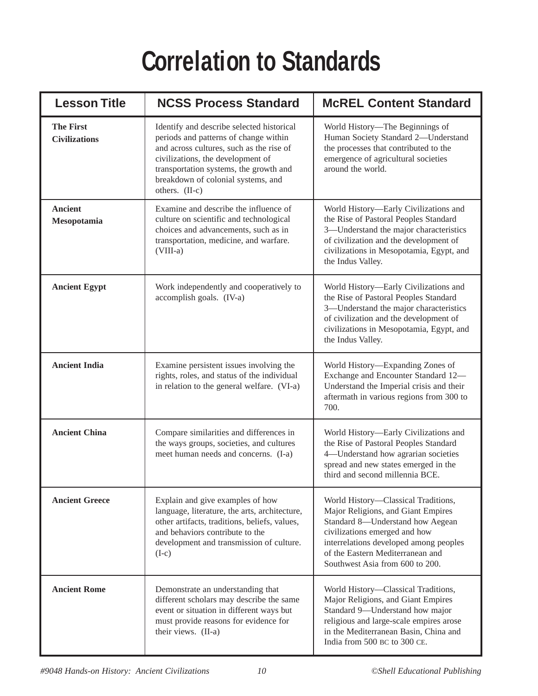# **Correlation to Standards**

| <b>Lesson Title</b>                      | <b>NCSS Process Standard</b>                                                                                                                                                                                                                                          | <b>McREL Content Standard</b>                                                                                                                                                                                                                                   |
|------------------------------------------|-----------------------------------------------------------------------------------------------------------------------------------------------------------------------------------------------------------------------------------------------------------------------|-----------------------------------------------------------------------------------------------------------------------------------------------------------------------------------------------------------------------------------------------------------------|
| <b>The First</b><br><b>Civilizations</b> | Identify and describe selected historical<br>periods and patterns of change within<br>and across cultures, such as the rise of<br>civilizations, the development of<br>transportation systems, the growth and<br>breakdown of colonial systems, and<br>others. (II-c) | World History-The Beginnings of<br>Human Society Standard 2-Understand<br>the processes that contributed to the<br>emergence of agricultural societies<br>around the world.                                                                                     |
| <b>Ancient</b><br>Mesopotamia            | Examine and describe the influence of<br>culture on scientific and technological<br>choices and advancements, such as in<br>transportation, medicine, and warfare.<br>$(VIII-a)$                                                                                      | World History-Early Civilizations and<br>the Rise of Pastoral Peoples Standard<br>3-Understand the major characteristics<br>of civilization and the development of<br>civilizations in Mesopotamia, Egypt, and<br>the Indus Valley.                             |
| <b>Ancient Egypt</b>                     | Work independently and cooperatively to<br>accomplish goals. (IV-a)                                                                                                                                                                                                   | World History—Early Civilizations and<br>the Rise of Pastoral Peoples Standard<br>3-Understand the major characteristics<br>of civilization and the development of<br>civilizations in Mesopotamia, Egypt, and<br>the Indus Valley.                             |
| <b>Ancient India</b>                     | Examine persistent issues involving the<br>rights, roles, and status of the individual<br>in relation to the general welfare. (VI-a)                                                                                                                                  | World History-Expanding Zones of<br>Exchange and Encounter Standard 12-<br>Understand the Imperial crisis and their<br>aftermath in various regions from 300 to<br>700.                                                                                         |
| <b>Ancient China</b>                     | Compare similarities and differences in<br>the ways groups, societies, and cultures<br>meet human needs and concerns. (I-a)                                                                                                                                           | World History-Early Civilizations and<br>the Rise of Pastoral Peoples Standard<br>4-Understand how agrarian societies<br>spread and new states emerged in the<br>third and second millennia BCE.                                                                |
| <b>Ancient Greece</b>                    | Explain and give examples of how<br>language, literature, the arts, architecture,<br>other artifacts, traditions, beliefs, values,<br>and behaviors contribute to the<br>development and transmission of culture.<br>$(I-c)$                                          | World History-Classical Traditions,<br>Major Religions, and Giant Empires<br>Standard 8-Understand how Aegean<br>civilizations emerged and how<br>interrelations developed among peoples<br>of the Eastern Mediterranean and<br>Southwest Asia from 600 to 200. |
| <b>Ancient Rome</b>                      | Demonstrate an understanding that<br>different scholars may describe the same<br>event or situation in different ways but<br>must provide reasons for evidence for<br>their views. (II-a)                                                                             | World History-Classical Traditions,<br>Major Religions, and Giant Empires<br>Standard 9-Understand how major<br>religious and large-scale empires arose<br>in the Mediterranean Basin, China and<br>India from 500 BC to 300 CE.                                |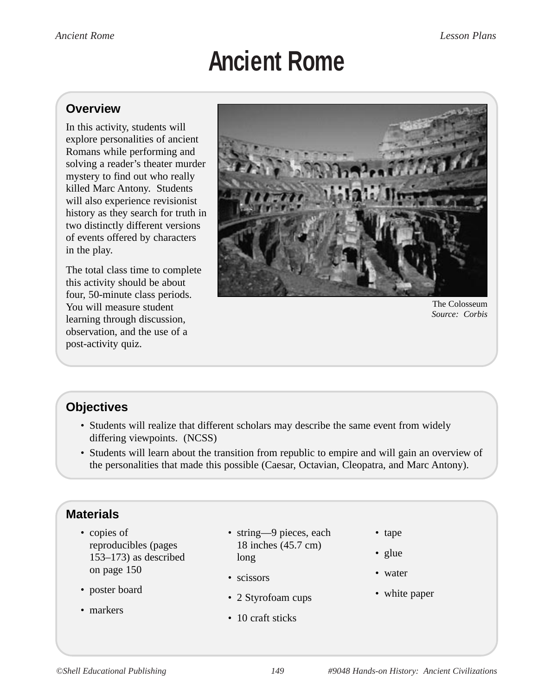# **Ancient Rome**

#### **Overview**

Romans while performing and killed Marc Antony. Students In this activity, students will explore personalities of ancient solving a reader's theater murder mystery to find out who really will also experience revisionist history as they search for truth in two distinctly different versions of events offered by characters in the play.

The total class time to complete learning through discussion, this activity should be about four, 50-minute class periods. You will measure student observation, and the use of a post-activity quiz.



The Colosseum *Corbis Source:* 

## **Objectives**

- Students will realize that different scholars may describe the same event from widely differing viewpoints. (NCSS)
- Students will learn about the transition from republic to empire and will gain an overview of the personalities that made this possible (Caesar, Octavian, Cleopatra, and Marc Antony).

## **Materials**

- copies of reproducibles (pages 153–173) as described on page 150
- poster board
- markers
- string—9 pieces, each 18 inches (45.7 cm) long
- scissors
- 2 Styrofoam cups
- 10 craft sticks
- tape
- glue
- water
- white paper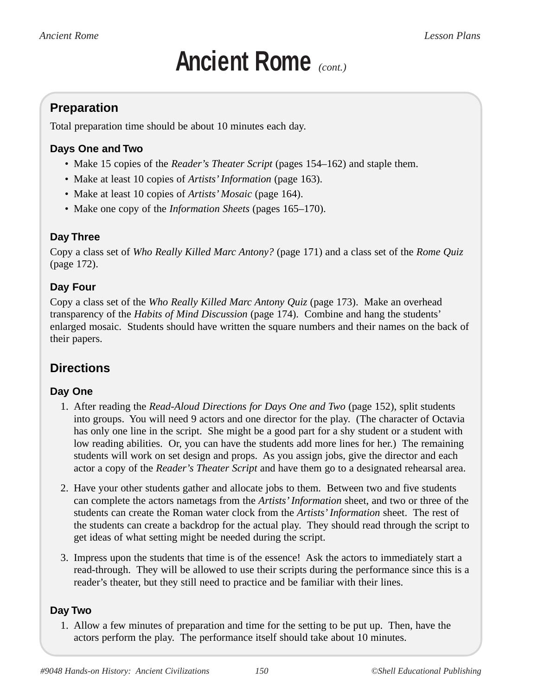Total preparation time should be about 10 minutes each day.

#### **Days One and Two**

- Make 15 copies of the *Reader's Theater Script* (pages 154–162) and staple them.
- Make at least 10 copies of *Artists' Information* (page 163).
- Make at least 10 copies of *Artists' Mosaic* (page 164).
- Make one copy of the *Information Sheets* (pages 165–170).

#### **Day Three**

Copy a class set of *Who Really Killed Marc Antony?* (page 171) and a class set of the *Rome Quiz* (page 172).

#### **Day Four**

Copy a class set of the *Who Really Killed Marc Antony Quiz* (page 173). Make an overhead transparency of the *Habits of Mind Discussion* (page 174). Combine and hang the students' their papers. enlarged mosaic. Students should have written the square numbers and their names on the back of

## **Directions**

#### **Day One**

- into groups. You will need 9 actors and one director for the play. (The character of Octavia has only one line in the script. She might be a good part for a shy student or a student with low reading abilities. Or, you can have the students add more lines for her.) The remaining 1. After reading the *Read-Aloud Directions for Days One and Two* (page 152), split students students will work on set design and props. As you assign jobs, give the director and each actor a copy of the *Reader's Theater Script* and have them go to a designated rehearsal area.
- can complete the actors nametags from the *Artists' Information* sheet, and two or three of the students can create the Roman water clock from the Artists' Information sheet. The rest of get ideas of what setting might be needed during the script. 2. Have your other students gather and allocate jobs to them. Between two and five students the students can create a backdrop for the actual play. They should read through the script to
- 3. Impress upon the students that time is of the essence! Ask the actors to immediately start a read-through. They will be allowed to use their scripts during the performance since this is a reader's theater, but they still need to practice and be familiar with their lines.

#### **Day Two**

1. Allow a few minutes of preparation and time for the setting to be put up. Then, have the actors perform the play. The performance itself should take about 10 minutes.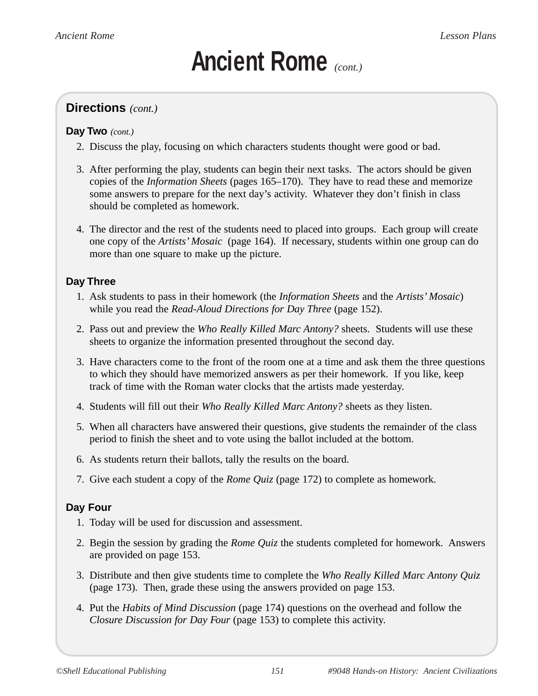#### **Directions** *(cont.)*

#### *(cont.)*  **Day Two**

- 2. Discuss the play, focusing on which characters students thought were good or bad.
- copies of the *Information Sheets* (pages 165–170). They have to read these and memorize 3. After performing the play, students can begin their next tasks. The actors should be given some answers to prepare for the next day's activity. Whatever they don't finish in class should be completed as homework.
- 4. The director and the rest of the students need to placed into groups. Each group will create one copy of the *Artists' Mosaic* (page 164). If necessary, students within one group can do more than one square to make up the picture.

#### **Day Three**

- 1. Ask students to pass in their homework (the *Information Sheets* and the *Artists' Mosaic*) while you read the *Read-Aloud Directions for Day Three* (page 152).
- 2. Pass out and preview the *Who Really Killed Marc Antony?* sheets. Students will use these sheets to organize the information presented throughout the second day.
- 3. Have characters come to the front of the room one at a time and ask them the three questions to which they should have memorized answers as per their homework. If you like, keep track of time with the Roman water clocks that the artists made yesterday.
- 4. Students will fill out their *Who Really Killed Marc Antony?* sheets as they listen.
- 5. When all characters have answered their questions, give students the remainder of the class period to finish the sheet and to vote using the ballot included at the bottom.
- 6. As students return their ballots, tally the results on the board.
- 7. Give each student a copy of the *Rome Quiz* (page 172) to complete as homework.

#### **Day Four**

- 1. Today will be used for discussion and assessment.
- 2. Begin the session by grading the *Rome Quiz* the students completed for homework. Answers are provided on page 153.
- (page 173)*.*  Then, grade these using the answers provided on page 153. 3. Distribute and then give students time to complete the *Who Really Killed Marc Antony Quiz*
- 4. Put the *Habits of Mind Discussion* (page 174) questions on the overhead and follow the *Closure Discussion for Day Four* (page 153) to complete this activity.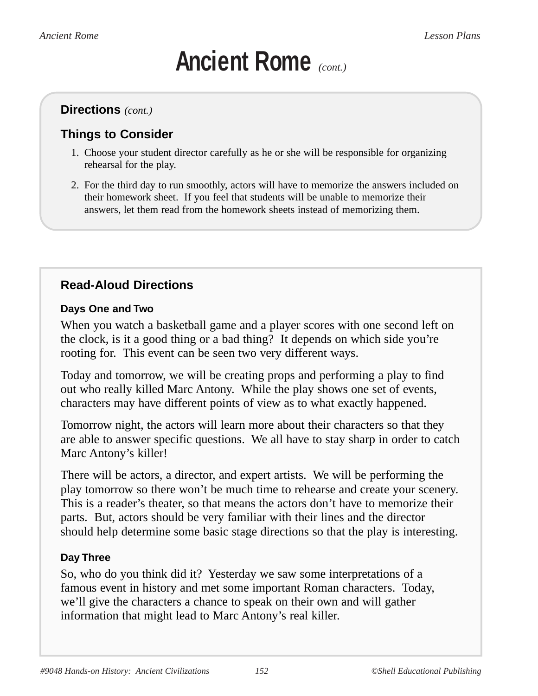#### **Directions** *(cont.)*

## **Things to Consider**

- 1. Choose your student director carefully as he or she will be responsible for organizing rehearsal for the play.
- their homework sheet. If you feel that students will be unable to memorize their 2. For the third day to run smoothly, actors will have to memorize the answers included on answers, let them read from the homework sheets instead of memorizing them.

## **Read-Aloud Directions**

#### **Days One and Two**

When you watch a basketball game and a player scores with one second left on the clock, is it a good thing or a bad thing? It depends on which side you're rooting for. This event can be seen two very different ways.

Today and tomorrow, we will be creating props and performing a play to find out who really killed Marc Antony. While the play shows one set of events, characters may have different points of view as to what exactly happened.

Tomorrow night, the actors will learn more about their characters so that they are able to answer specific questions. We all have to stay sharp in order to catch Marc Antony's killer!

parts. But, actors should be very familiar with their lines and the director should help determine some basic stage directions so that the play is interesting. There will be actors, a director, and expert artists. We will be performing the play tomorrow so there won't be much time to rehearse and create your scenery. This is a reader's theater, so that means the actors don't have to memorize their

#### **Day Three**

So, who do you think did it? Yesterday we saw some interpretations of a famous event in history and met some important Roman characters. Today, we'll give the characters a chance to speak on their own and will gather information that might lead to Marc Antony's real killer.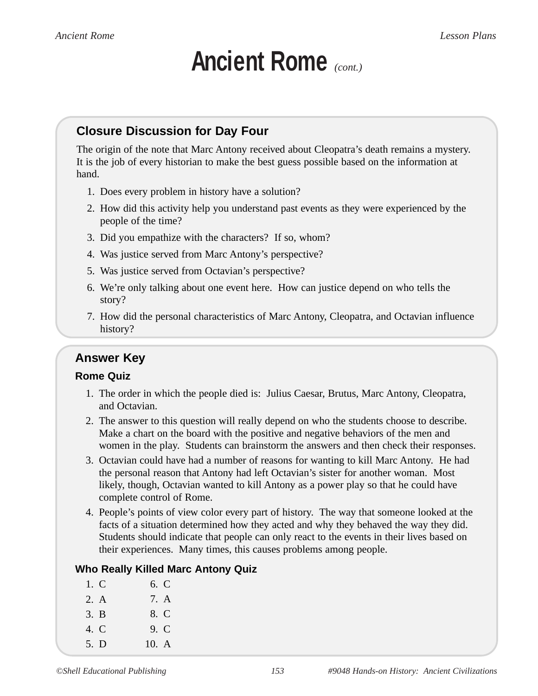### **Closure Discussion for Day Four**

hand. The origin of the note that Marc Antony received about Cleopatra's death remains a mystery. It is the job of every historian to make the best guess possible based on the information at

- 1. Does every problem in history have a solution?
- people of the time? 2. How did this activity help you understand past events as they were experienced by the
- 3. Did you empathize with the characters? If so, whom?
- 4. Was justice served from Marc Antony's perspective?
- 5. Was justice served from Octavian's perspective?
- story? 6. We're only talking about one event here. How can justice depend on who tells the
- history? 7. How did the personal characteristics of Marc Antony, Cleopatra, and Octavian influence

### **Answer Key**

#### **Rome Quiz**

- 1. The order in which the people died is: Julius Caesar, Brutus, Marc Antony, Cleopatra, and Octavian.
- women in the play. Students can brainstorm the answers and then check their responses. 2. The answer to this question will really depend on who the students choose to describe. Make a chart on the board with the positive and negative behaviors of the men and
- 3. Octavian could have had a number of reasons for wanting to kill Marc Antony. He had the personal reason that Antony had left Octavian's sister for another woman. Most complete control of Rome. likely, though, Octavian wanted to kill Antony as a power play so that he could have
- 4. People's points of view color every part of history. The way that someone looked at the facts of a situation determined how they acted and why they behaved the way they did. Students should indicate that people can only react to the events in their lives based on their experiences. Many times, this causes problems among people.

#### **Who Really Killed Marc Antony Quiz**

1. C 2. A 3. B 4. C 5. D 6. C 7. A 8. C 9. C 10. A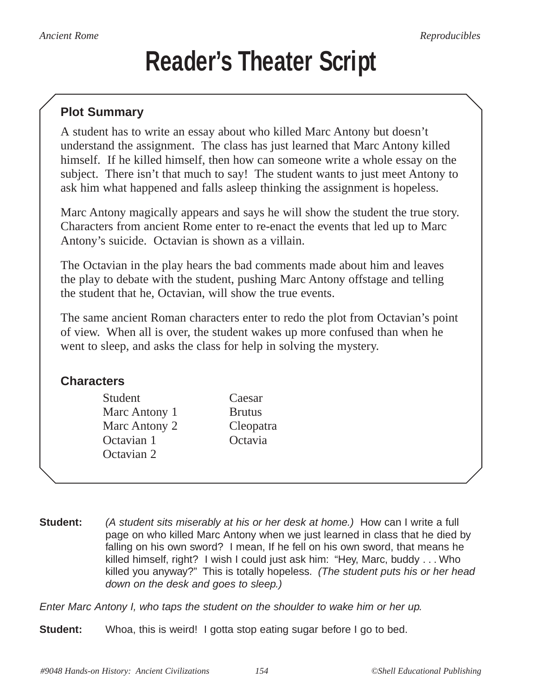## **Reader's Theater Script**

### **Plot Summary**

understand the assignment. The class has just learned that Marc Antony killed himself. If he killed himself, then how can someone write a whole essay on the subject. There isn't that much to say! The student wants to just meet Antony to A student has to write an essay about who killed Marc Antony but doesn't ask him what happened and falls asleep thinking the assignment is hopeless.

Marc Antony magically appears and says he will show the student the true story. Characters from ancient Rome enter to re-enact the events that led up to Marc Antony's suicide. Octavian is shown as a villain.

The Octavian in the play hears the bad comments made about him and leaves the play to debate with the student, pushing Marc Antony offstage and telling the student that he, Octavian, will show the true events.

The same ancient Roman characters enter to redo the plot from Octavian's point of view. When all is over, the student wakes up more confused than when he went to sleep, and asks the class for help in solving the mystery.

### **Characters**

Student Caesar Marc Antony 1 Brutus Marc Antony 2 Octavian 1 Octavia Octavian 2

Cleopatra

**Student:** (A student sits miserably at his or her desk at home.) How can I write a full page on who killed Marc Antony when we just learned in class that he died by falling on his own sword? I mean, If he fell on his own sword, that means he killed himself, right? I wish I could just ask him: "Hey, Marc, buddy . . . Who killed you anyway?" This is totally hopeless. (The student puts his or her head down on the desk and goes to sleep.)

Enter Marc Antony I, who taps the student on the shoulder to wake him or her up.

**Student:** Whoa, this is weird! I gotta stop eating sugar before I go to bed.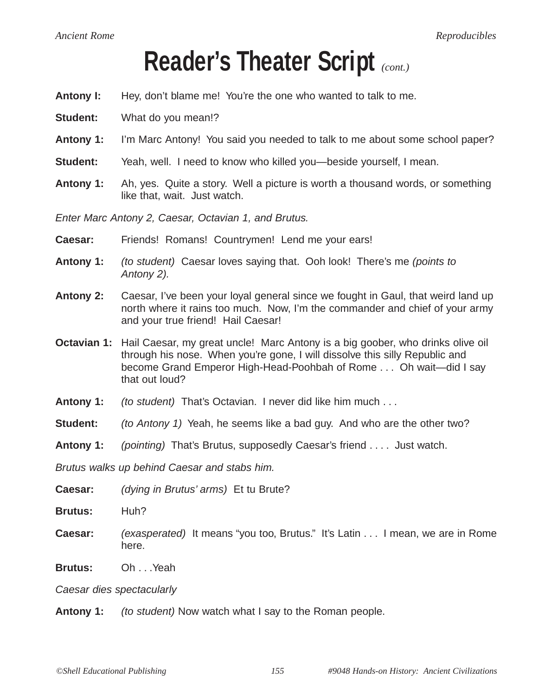## **Reader's Theater Script** *(cont.)*

- **Antony I:** Hey, don't blame me! You're the one who wanted to talk to me.
- **Student:** What do you mean!?
- **Antony 1:** I'm Marc Antony! You said you needed to talk to me about some school paper?
- **Student:** Yeah, well. I need to know who killed you—beside yourself, I mean.
- **Antony 1:** Ah, yes. Quite a story. Well a picture is worth a thousand words, or something like that, wait. Just watch.

Enter Marc Antony 2, Caesar, Octavian 1, and Brutus.

- **Caesar:** Friends! Romans! Countrymen! Lend me your ears!
- **Antony 1:** (to student) Caesar loves saying that. Ooh look! There's me (points to Antony 2).
- **Antony 2:** Caesar, I've been your loyal general since we fought in Gaul, that weird land up north where it rains too much. Now, I'm the commander and chief of your army and your true friend! Hail Caesar!
- **Octavian 1:** Hail Caesar, my great uncle! Marc Antony is a big goober, who drinks olive oil through his nose. When you're gone, I will dissolve this silly Republic and become Grand Emperor High-Head-Poohbah of Rome . . . Oh wait—did I say that out loud?
- **Antony 1:** (to student) That's Octavian. I never did like him much ...
- **Student:** (to Antony 1) Yeah, he seems like a bad guy. And who are the other two?
- **Antony 1:** (pointing) That's Brutus, supposedly Caesar's friend . . . . Just watch.

Brutus walks up behind Caesar and stabs him.

- **Caesar:** (dying in Brutus' arms) Et tu Brute?
- **Brutus:** Huh?
- **Caesar:** (exasperated) It means "you too, Brutus." It's Latin . . . I mean, we are in Rome here.
- **Brutus:** Oh . . .Yeah

Caesar dies spectacularly

**Antony 1:** (to student) Now watch what I say to the Roman people.